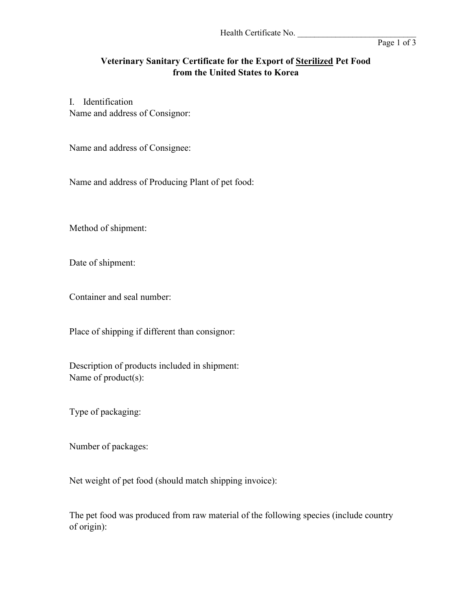## **Veterinary Sanitary Certificate for the Export of Sterilized Pet Food from the United States to Korea**

I. Identification Name and address of Consignor:

Name and address of Consignee:

Name and address of Producing Plant of pet food:

Method of shipment:

Date of shipment:

Container and seal number:

Place of shipping if different than consignor:

Description of products included in shipment: Name of product(s):

Type of packaging:

Number of packages:

Net weight of pet food (should match shipping invoice):

The pet food was produced from raw material of the following species (include country of origin):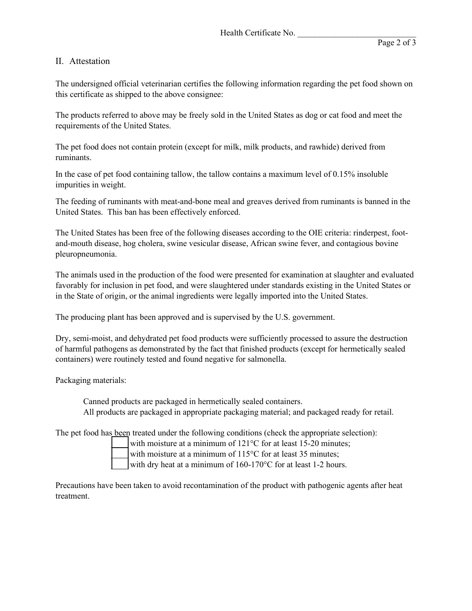## II. Attestation

The undersigned official veterinarian certifies the following information regarding the pet food shown on this certificate as shipped to the above consignee:

The products referred to above may be freely sold in the United States as dog or cat food and meet the requirements of the United States.

The pet food does not contain protein (except for milk, milk products, and rawhide) derived from ruminants.

In the case of pet food containing tallow, the tallow contains a maximum level of 0.15% insoluble impurities in weight.

The feeding of ruminants with meat-and-bone meal and greaves derived from ruminants is banned in the United States. This ban has been effectively enforced.

The United States has been free of the following diseases according to the OIE criteria: rinderpest, footand-mouth disease, hog cholera, swine vesicular disease, African swine fever, and contagious bovine pleuropneumonia.

The animals used in the production of the food were presented for examination at slaughter and evaluated favorably for inclusion in pet food, and were slaughtered under standards existing in the United States or in the State of origin, or the animal ingredients were legally imported into the United States.

The producing plant has been approved and is supervised by the U.S. government.

Dry, semi-moist, and dehydrated pet food products were sufficiently processed to assure the destruction of harmful pathogens as demonstrated by the fact that finished products (except for hermetically sealed containers) were routinely tested and found negative for salmonella.

Packaging materials:

Canned products are packaged in hermetically sealed containers. All products are packaged in appropriate packaging material; and packaged ready for retail.

The pet food has been treated under the following conditions (check the appropriate selection):

with moisture at a minimum of  $121^{\circ}$ C for at least 15-20 minutes;

with moisture at a minimum of 115°C for at least 35 minutes;

with dry heat at a minimum of  $160-170^{\circ}$ C for at least 1-2 hours.

Precautions have been taken to avoid recontamination of the product with pathogenic agents after heat treatment.